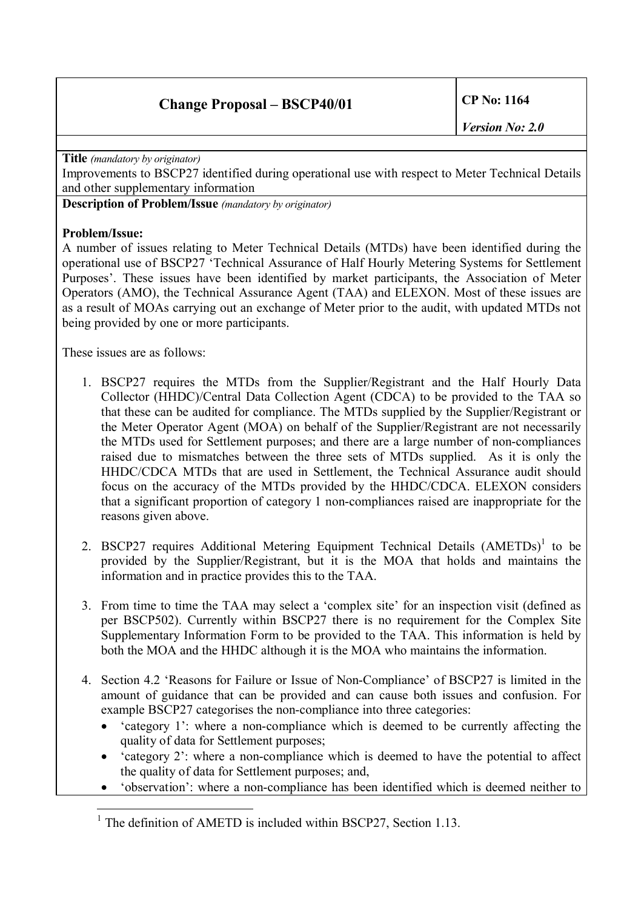**Title** *(mandatory by originator)*

Improvements to BSCP27 identified during operational use with respect to Meter Technical Details and other supplementary information

**Description of Problem/Issue** *(mandatory by originator)*

## **Problem/Issue:**

A number of issues relating to Meter Technical Details (MTDs) have been identified during the operational use of BSCP27 'Technical Assurance of Half Hourly Metering Systems for Settlement Purposes'. These issues have been identified by market participants, the Association of Meter Operators (AMO), the Technical Assurance Agent (TAA) and ELEXON. Most of these issues are as a result of MOAs carrying out an exchange of Meter prior to the audit, with updated MTDs not being provided by one or more participants.

These issues are as follows:

- 1. BSCP27 requires the MTDs from the Supplier/Registrant and the Half Hourly Data Collector (HHDC)/Central Data Collection Agent (CDCA) to be provided to the TAA so that these can be audited for compliance. The MTDs supplied by the Supplier/Registrant or the Meter Operator Agent (MOA) on behalf of the Supplier/Registrant are not necessarily the MTDs used for Settlement purposes; and there are a large number of non-compliances raised due to mismatches between the three sets of MTDs supplied. As it is only the HHDC/CDCA MTDs that are used in Settlement, the Technical Assurance audit should focus on the accuracy of the MTDs provided by the HHDC/CDCA. ELEXON considers that a significant proportion of category 1 non-compliances raised are inappropriate for the reasons given above.
- 2. BSCP27 requires Additional Metering Equipment Technical Details (AMETDs)<sup>[1](#page-0-0)</sup> to be provided by the Supplier/Registrant, but it is the MOA that holds and maintains the information and in practice provides this to the TAA.
- 3. From time to time the TAA may select a 'complex site' for an inspection visit (defined as per BSCP502). Currently within BSCP27 there is no requirement for the Complex Site Supplementary Information Form to be provided to the TAA. This information is held by both the MOA and the HHDC although it is the MOA who maintains the information.
- 4. Section 4.2 'Reasons for Failure or Issue of Non-Compliance' of BSCP27 is limited in the amount of guidance that can be provided and can cause both issues and confusion. For example BSCP27 categorises the non-compliance into three categories:
	- · 'category 1': where a non-compliance which is deemed to be currently affecting the quality of data for Settlement purposes;
	- · 'category 2': where a non-compliance which is deemed to have the potential to affect the quality of data for Settlement purposes; and,
	- · 'observation': where a non-compliance has been identified which is deemed neither to

<span id="page-0-0"></span><sup>&</sup>lt;sup>1</sup> The definition of AMETD is included within BSCP27, Section 1.13.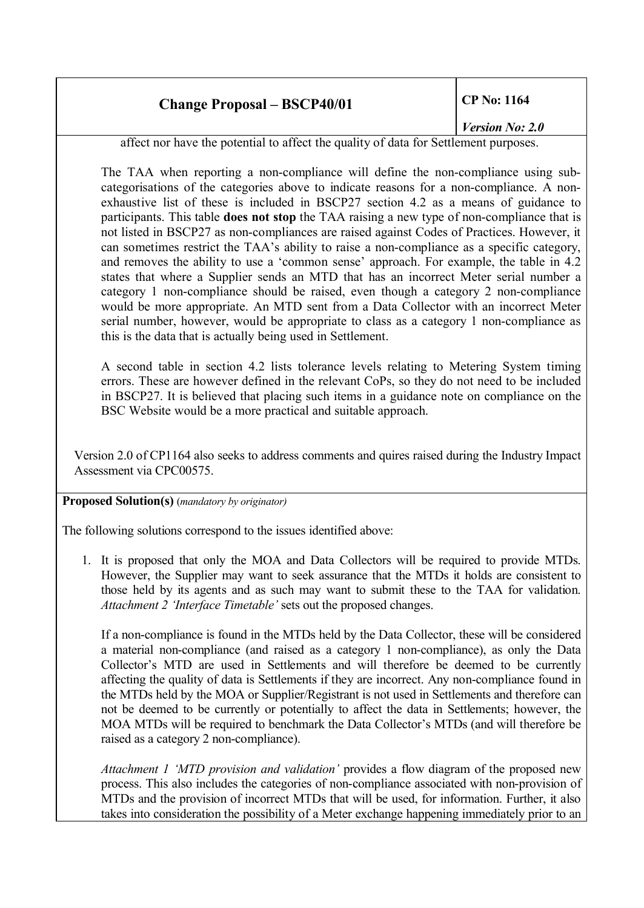### *Version No: 2.0*

affect nor have the potential to affect the quality of data for Settlement purposes.

The TAA when reporting a non-compliance will define the non-compliance using subcategorisations of the categories above to indicate reasons for a non-compliance. A nonexhaustive list of these is included in BSCP27 section 4.2 as a means of guidance to participants. This table **does not stop** the TAA raising a new type of non-compliance that is not listed in BSCP27 as non-compliances are raised against Codes of Practices. However, it can sometimes restrict the TAA's ability to raise a non-compliance as a specific category, and removes the ability to use a 'common sense' approach. For example, the table in 4.2 states that where a Supplier sends an MTD that has an incorrect Meter serial number a category 1 non-compliance should be raised, even though a category 2 non-compliance would be more appropriate. An MTD sent from a Data Collector with an incorrect Meter serial number, however, would be appropriate to class as a category 1 non-compliance as this is the data that is actually being used in Settlement.

A second table in section 4.2 lists tolerance levels relating to Metering System timing errors. These are however defined in the relevant CoPs, so they do not need to be included in BSCP27. It is believed that placing such items in a guidance note on compliance on the BSC Website would be a more practical and suitable approach.

Version 2.0 of CP1164 also seeks to address comments and quires raised during the Industry Impact Assessment via CPC00575.

**Proposed Solution(s)** (*mandatory by originator)*

The following solutions correspond to the issues identified above:

1. It is proposed that only the MOA and Data Collectors will be required to provide MTDs. However, the Supplier may want to seek assurance that the MTDs it holds are consistent to those held by its agents and as such may want to submit these to the TAA for validation. *Attachment 2 'Interface Timetable'* sets out the proposed changes.

If a non-compliance is found in the MTDs held by the Data Collector, these will be considered a material non-compliance (and raised as a category 1 non-compliance), as only the Data Collector's MTD are used in Settlements and will therefore be deemed to be currently affecting the quality of data is Settlements if they are incorrect. Any non-compliance found in the MTDs held by the MOA or Supplier/Registrant is not used in Settlements and therefore can not be deemed to be currently or potentially to affect the data in Settlements; however, the MOA MTDs will be required to benchmark the Data Collector's MTDs (and will therefore be raised as a category 2 non-compliance).

*Attachment 1 'MTD provision and validation'* provides a flow diagram of the proposed new process. This also includes the categories of non-compliance associated with non-provision of MTDs and the provision of incorrect MTDs that will be used, for information. Further, it also takes into consideration the possibility of a Meter exchange happening immediately prior to an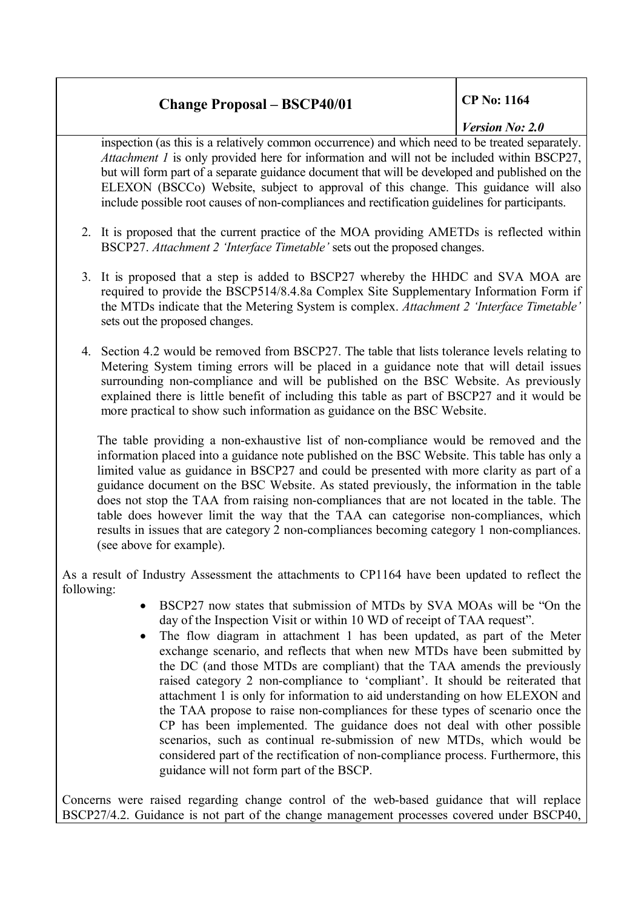## *Version No: 2.0*

inspection (as this is a relatively common occurrence) and which need to be treated separately. *Attachment 1* is only provided here for information and will not be included within BSCP27, but will form part of a separate guidance document that will be developed and published on the ELEXON (BSCCo) Website, subject to approval of this change. This guidance will also include possible root causes of non-compliances and rectification guidelines for participants.

- 2. It is proposed that the current practice of the MOA providing AMETDs is reflected within BSCP27. *Attachment 2 'Interface Timetable'* sets out the proposed changes.
- 3. It is proposed that a step is added to BSCP27 whereby the HHDC and SVA MOA are required to provide the BSCP514/8.4.8a Complex Site Supplementary Information Form if the MTDs indicate that the Metering System is complex. *Attachment 2 'Interface Timetable'* sets out the proposed changes.
- 4. Section 4.2 would be removed from BSCP27. The table that lists tolerance levels relating to Metering System timing errors will be placed in a guidance note that will detail issues surrounding non-compliance and will be published on the BSC Website. As previously explained there is little benefit of including this table as part of BSCP27 and it would be more practical to show such information as guidance on the BSC Website.

The table providing a non-exhaustive list of non-compliance would be removed and the information placed into a guidance note published on the BSC Website. This table has only a limited value as guidance in BSCP27 and could be presented with more clarity as part of a guidance document on the BSC Website. As stated previously, the information in the table does not stop the TAA from raising non-compliances that are not located in the table. The table does however limit the way that the TAA can categorise non-compliances, which results in issues that are category 2 non-compliances becoming category 1 non-compliances. (see above for example).

As a result of Industry Assessment the attachments to CP1164 have been updated to reflect the following:

- · BSCP27 now states that submission of MTDs by SVA MOAs will be "On the day of the Inspection Visit or within 10 WD of receipt of TAA request".
- The flow diagram in attachment 1 has been updated, as part of the Meter exchange scenario, and reflects that when new MTDs have been submitted by the DC (and those MTDs are compliant) that the TAA amends the previously raised category 2 non-compliance to 'compliant'. It should be reiterated that attachment 1 is only for information to aid understanding on how ELEXON and the TAA propose to raise non-compliances for these types of scenario once the CP has been implemented. The guidance does not deal with other possible scenarios, such as continual re-submission of new MTDs, which would be considered part of the rectification of non-compliance process. Furthermore, this guidance will not form part of the BSCP.

Concerns were raised regarding change control of the web-based guidance that will replace BSCP27/4.2. Guidance is not part of the change management processes covered under BSCP40,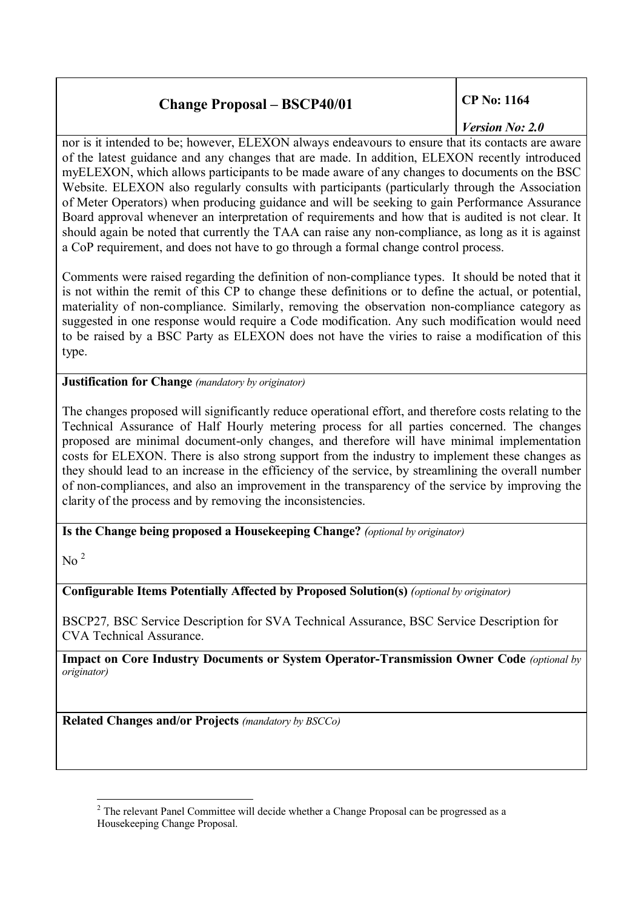## *Version No: 2.0*

nor is it intended to be; however, ELEXON always endeavours to ensure that its contacts are aware of the latest guidance and any changes that are made. In addition, ELEXON recently introduced myELEXON, which allows participants to be made aware of any changes to documents on the BSC Website. ELEXON also regularly consults with participants (particularly through the Association of Meter Operators) when producing guidance and will be seeking to gain Performance Assurance Board approval whenever an interpretation of requirements and how that is audited is not clear. It should again be noted that currently the TAA can raise any non-compliance, as long as it is against a CoP requirement, and does not have to go through a formal change control process.

Comments were raised regarding the definition of non-compliance types. It should be noted that it is not within the remit of this CP to change these definitions or to define the actual, or potential, materiality of non-compliance. Similarly, removing the observation non-compliance category as suggested in one response would require a Code modification. Any such modification would need to be raised by a BSC Party as ELEXON does not have the viries to raise a modification of this type.

**Justification for Change** *(mandatory by originator)*

The changes proposed will significantly reduce operational effort, and therefore costs relating to the Technical Assurance of Half Hourly metering process for all parties concerned. The changes proposed are minimal document-only changes, and therefore will have minimal implementation costs for ELEXON. There is also strong support from the industry to implement these changes as they should lead to an increase in the efficiency of the service, by streamlining the overall number of non-compliances, and also an improvement in the transparency of the service by improving the clarity of the process and by removing the inconsistencies.

**Is the Change being proposed a Housekeeping Change?** *(optional by originator)*

No [2](#page-3-0)

**Configurable Items Potentially Affected by Proposed Solution(s)** *(optional by originator)*

BSCP27*,* BSC Service Description for SVA Technical Assurance, BSC Service Description for CVA Technical Assurance.

**Impact on Core Industry Documents or System Operator-Transmission Owner Code** *(optional by originator)*

**Related Changes and/or Projects** *(mandatory by BSCCo)*

<span id="page-3-0"></span><sup>&</sup>lt;sup>2</sup> The relevant Panel Committee will decide whether a Change Proposal can be progressed as a Housekeeping Change Proposal.